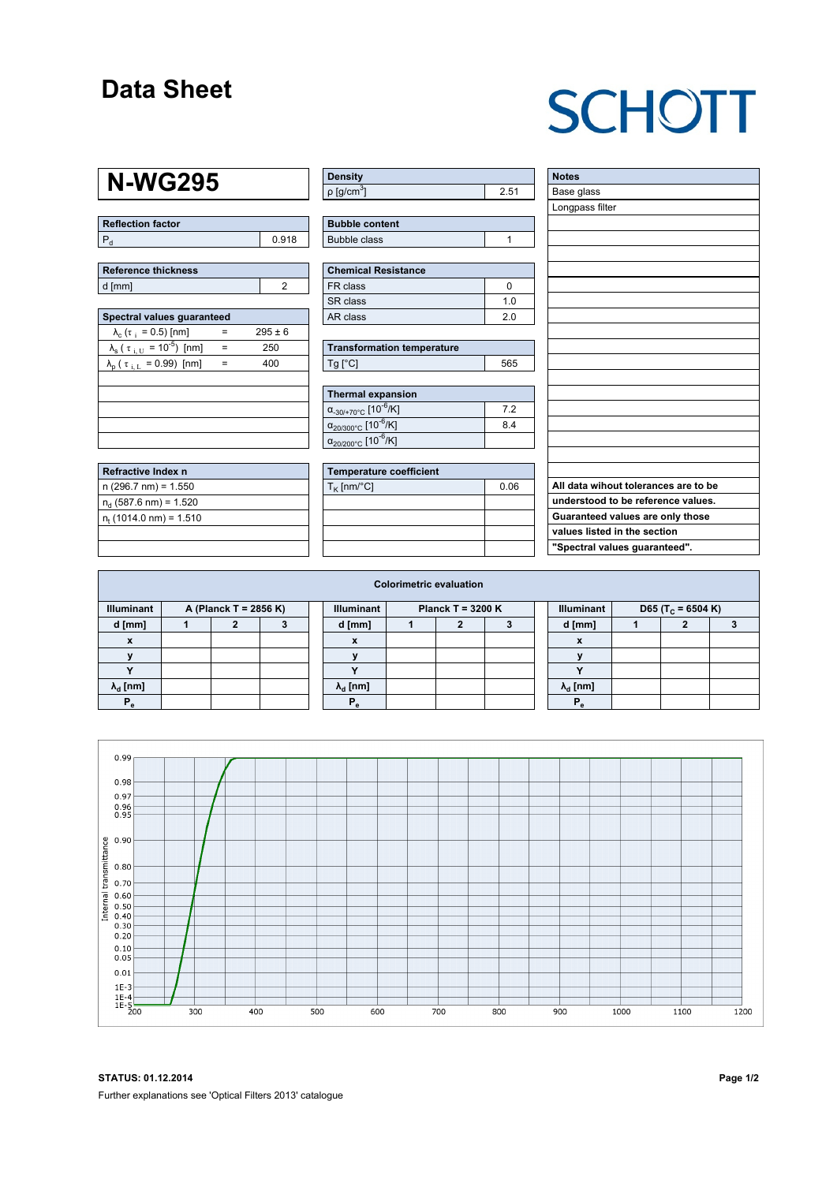### **Data Sheet**

# **SCHOTT**

### **N-WG295**

| Reflection factor |       |
|-------------------|-------|
|                   | 0.918 |

| <b>Reference thickness</b> |  |  |  |  |  |  |  |
|----------------------------|--|--|--|--|--|--|--|
| d [mm]                     |  |  |  |  |  |  |  |

| Spectral values quaranteed                                      |   |             |  |  |  |  |  |  |  |  |
|-----------------------------------------------------------------|---|-------------|--|--|--|--|--|--|--|--|
| $\lambda_c$ ( $\tau_i$ = 0.5) [nm]                              |   | $295 \pm 6$ |  |  |  |  |  |  |  |  |
| $\lambda_{\rm s}$ ( $\tau_{\rm i, U}$ = 10 <sup>-5</sup> ) [nm] |   | 250         |  |  |  |  |  |  |  |  |
| $\lambda_{\rm p}$ ( $\tau_{\rm i, L}$ = 0.99) [nm]              | - | 400         |  |  |  |  |  |  |  |  |
|                                                                 |   |             |  |  |  |  |  |  |  |  |
|                                                                 |   |             |  |  |  |  |  |  |  |  |
|                                                                 |   |             |  |  |  |  |  |  |  |  |
|                                                                 |   |             |  |  |  |  |  |  |  |  |
|                                                                 |   |             |  |  |  |  |  |  |  |  |

| Refractive Index n              |  |
|---------------------------------|--|
| $n(296.7 nm) = 1.550$           |  |
| $n_d$ (587.6 nm) = 1.520        |  |
| $n_{\rm t}$ (1014.0 nm) = 1.510 |  |
|                                 |  |

| <b>Density</b>              |     |
|-----------------------------|-----|
| $\rho$ [g/cm <sup>3</sup> ] | 251 |

| <b>Bubble content</b> |  |
|-----------------------|--|
| Bubble class          |  |

| Chemical Resistance |     |  |  |  |  |  |
|---------------------|-----|--|--|--|--|--|
| FR class            |     |  |  |  |  |  |
| SR class            | 1 በ |  |  |  |  |  |
| l AR class          | 20  |  |  |  |  |  |

| <b>Transformation temperature</b> |     |
|-----------------------------------|-----|
| $Tg$ [ $^{\circ}$ C]              | 565 |

| Thermal expansion                                 |     |
|---------------------------------------------------|-----|
| $\alpha_{-30/+70\degree}$ c [10 <sup>-6</sup> /K] | 7.2 |
| $\alpha_{20/300^{\circ}C}$ [10 $^{-6}$ /K]        | 84  |
| $\alpha_{20/200^{\circ}C}$ [10 <sup>-6</sup> /K]  |     |

| Temperature coefficient |      |  |  |  |  |  |  |
|-------------------------|------|--|--|--|--|--|--|
| $T_{\rm K}$ [nm/°C]     | 0.06 |  |  |  |  |  |  |
|                         |      |  |  |  |  |  |  |
|                         |      |  |  |  |  |  |  |
|                         |      |  |  |  |  |  |  |
|                         |      |  |  |  |  |  |  |

| <b>Notes</b>                         |
|--------------------------------------|
| Base glass                           |
| Longpass filter                      |
|                                      |
|                                      |
|                                      |
|                                      |
|                                      |
|                                      |
|                                      |
|                                      |
|                                      |
|                                      |
|                                      |
|                                      |
|                                      |
|                                      |
|                                      |
|                                      |
|                                      |
|                                      |
|                                      |
| All data wihout tolerances are to be |
| understood to be reference values.   |
| Guaranteed values are only those     |
| values listed in the section         |
| "Spectral values guaranteed".        |

| <b>Colorimetric evaluation</b>             |  |  |  |  |                                          |  |  |  |  |                                                    |  |  |  |
|--------------------------------------------|--|--|--|--|------------------------------------------|--|--|--|--|----------------------------------------------------|--|--|--|
| <b>Illuminant</b><br>A (Planck T = 2856 K) |  |  |  |  | <b>Illuminant</b><br>Planck T = $3200 K$ |  |  |  |  | <b>Illuminant</b><br>D65 (T <sub>c</sub> = 6504 K) |  |  |  |
| d [mm]                                     |  |  |  |  | d [mm]                                   |  |  |  |  | d [mm]                                             |  |  |  |
| X                                          |  |  |  |  | X                                        |  |  |  |  | X                                                  |  |  |  |
|                                            |  |  |  |  |                                          |  |  |  |  |                                                    |  |  |  |
|                                            |  |  |  |  |                                          |  |  |  |  | $\overline{\phantom{a}}$                           |  |  |  |
| $\lambda_{d}$ [nm]                         |  |  |  |  | $\lambda_{\rm d}$ [nm]                   |  |  |  |  | $\lambda_{\rm d}$ [nm]                             |  |  |  |
| $P_{\alpha}$                               |  |  |  |  | $P_{\alpha}$                             |  |  |  |  | Р,                                                 |  |  |  |